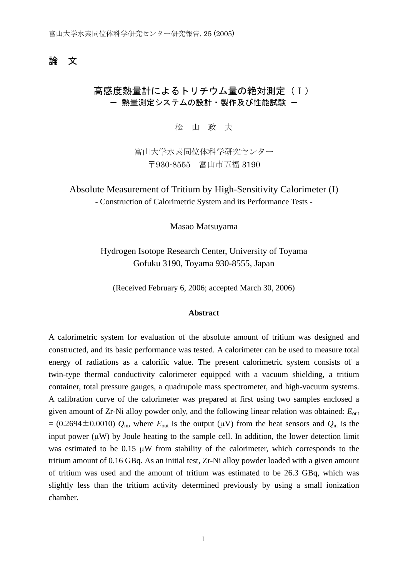## 論 文

# 高感度熱量計によるトリチウム量の絶対測定(Ⅰ) - 熱量測定システムの設計・製作及び性能試験 -

松 山 政 夫

富山大学水素同位体科学研究センター 〒930-8555 富山市五福 3190

Absolute Measurement of Tritium by High-Sensitivity Calorimeter (I) - Construction of Calorimetric System and its Performance Tests -

Masao Matsuyama

Hydrogen Isotope Research Center, University of Toyama Gofuku 3190, Toyama 930-8555, Japan

(Received February 6, 2006; accepted March 30, 2006)

### **Abstract**

A calorimetric system for evaluation of the absolute amount of tritium was designed and constructed, and its basic performance was tested. A calorimeter can be used to measure total energy of radiations as a calorific value. The present calorimetric system consists of a twin-type thermal conductivity calorimeter equipped with a vacuum shielding, a tritium container, total pressure gauges, a quadrupole mass spectrometer, and high-vacuum systems. A calibration curve of the calorimeter was prepared at first using two samples enclosed a given amount of Zr-Ni alloy powder only, and the following linear relation was obtained: *E*out  $= (0.2694 \pm 0.0010)$   $Q_{\text{in}}$ , where  $E_{\text{out}}$  is the output ( $\mu$ V) from the heat sensors and  $Q_{\text{in}}$  is the input power  $(\mu W)$  by Joule heating to the sample cell. In addition, the lower detection limit was estimated to be 0.15 μW from stability of the calorimeter, which corresponds to the tritium amount of 0.16 GBq. As an initial test, Zr-Ni alloy powder loaded with a given amount of tritium was used and the amount of tritium was estimated to be 26.3 GBq, which was slightly less than the tritium activity determined previously by using a small ionization chamber.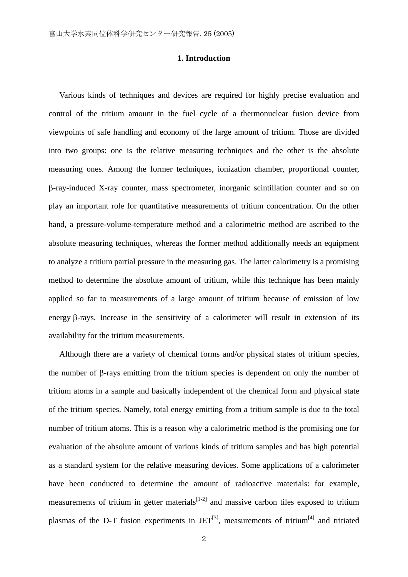## **1. Introduction**

Various kinds of techniques and devices are required for highly precise evaluation and control of the tritium amount in the fuel cycle of a thermonuclear fusion device from viewpoints of safe handling and economy of the large amount of tritium. Those are divided into two groups: one is the relative measuring techniques and the other is the absolute measuring ones. Among the former techniques, ionization chamber, proportional counter, β-ray-induced X-ray counter, mass spectrometer, inorganic scintillation counter and so on play an important role for quantitative measurements of tritium concentration. On the other hand, a pressure-volume-temperature method and a calorimetric method are ascribed to the absolute measuring techniques, whereas the former method additionally needs an equipment to analyze a tritium partial pressure in the measuring gas. The latter calorimetry is a promising method to determine the absolute amount of tritium, while this technique has been mainly applied so far to measurements of a large amount of tritium because of emission of low energy β-rays. Increase in the sensitivity of a calorimeter will result in extension of its availability for the tritium measurements.

Although there are a variety of chemical forms and/or physical states of tritium species, the number of β-rays emitting from the tritium species is dependent on only the number of tritium atoms in a sample and basically independent of the chemical form and physical state of the tritium species. Namely, total energy emitting from a tritium sample is due to the total number of tritium atoms. This is a reason why a calorimetric method is the promising one for evaluation of the absolute amount of various kinds of tritium samples and has high potential as a standard system for the relative measuring devices. Some applications of a calorimeter have been conducted to determine the amount of radioactive materials: for example, measurements of tritium in getter materials $[1-2]$  and massive carbon tiles exposed to tritium plasmas of the D-T fusion experiments in  $JET^{[3]}$ , measurements of tritium<sup>[4]</sup> and tritiated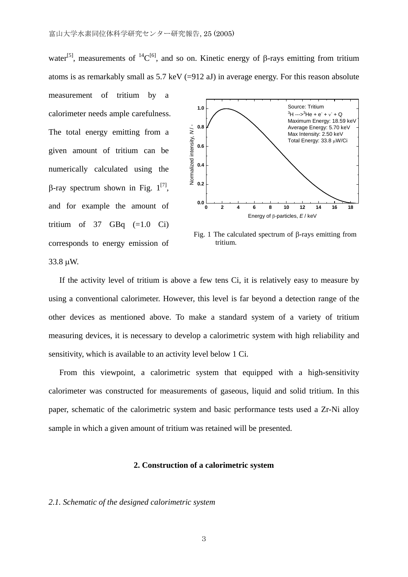water<sup>[5]</sup>, measurements of <sup>14</sup>C<sup>[6]</sup>, and so on. Kinetic energy of β-rays emitting from tritium atoms is as remarkably small as  $5.7 \text{ keV}$  (=912 aJ) in average energy. For this reason absolute

measurement of tritium by a calorimeter needs ample carefulness. The total energy emitting from a given amount of tritium can be numerically calculated using the β-ray spectrum shown in Fig.  $1^{[7]}$ , and for example the amount of tritium of  $37$  GBq  $(=1.0 \text{ Ci})$ corresponds to energy emission of



Fig. 1 The calculated spectrum of β-rays emitting from tritium.

33.8 μW.

If the activity level of tritium is above a few tens Ci, it is relatively easy to measure by using a conventional calorimeter. However, this level is far beyond a detection range of the other devices as mentioned above. To make a standard system of a variety of tritium measuring devices, it is necessary to develop a calorimetric system with high reliability and sensitivity, which is available to an activity level below 1 Ci.

From this viewpoint, a calorimetric system that equipped with a high-sensitivity calorimeter was constructed for measurements of gaseous, liquid and solid tritium. In this paper, schematic of the calorimetric system and basic performance tests used a Zr-Ni alloy sample in which a given amount of tritium was retained will be presented.

## **2. Construction of a calorimetric system**

## *2.1. Schematic of the designed calorimetric system*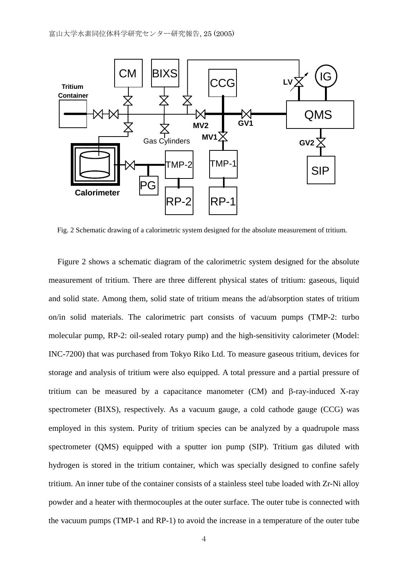

Fig. 2 Schematic drawing of a calorimetric system designed for the absolute measurement of tritium.

Figure 2 shows a schematic diagram of the calorimetric system designed for the absolute measurement of tritium. There are three different physical states of tritium: gaseous, liquid and solid state. Among them, solid state of tritium means the ad/absorption states of tritium on/in solid materials. The calorimetric part consists of vacuum pumps (TMP-2: turbo molecular pump, RP-2: oil-sealed rotary pump) and the high-sensitivity calorimeter (Model: INC-7200) that was purchased from Tokyo Riko Ltd. To measure gaseous tritium, devices for storage and analysis of tritium were also equipped. A total pressure and a partial pressure of tritium can be measured by a capacitance manometer (CM) and β-ray-induced X-ray spectrometer (BIXS), respectively. As a vacuum gauge, a cold cathode gauge (CCG) was employed in this system. Purity of tritium species can be analyzed by a quadrupole mass spectrometer (QMS) equipped with a sputter ion pump (SIP). Tritium gas diluted with hydrogen is stored in the tritium container, which was specially designed to confine safely tritium. An inner tube of the container consists of a stainless steel tube loaded with Zr-Ni alloy powder and a heater with thermocouples at the outer surface. The outer tube is connected with the vacuum pumps (TMP-1 and RP-1) to avoid the increase in a temperature of the outer tube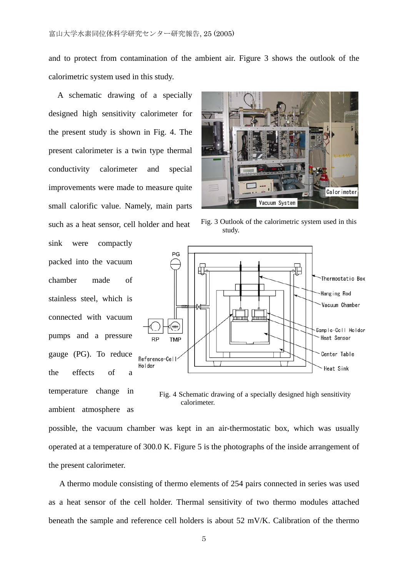and to protect from contamination of the ambient air. Figure 3 shows the outlook of the calorimetric system used in this study.

A schematic drawing of a specially designed high sensitivity calorimeter for the present study is shown in Fig. 4. The present calorimeter is a twin type thermal conductivity calorimeter and special improvements were made to measure quite small calorific value. Namely, main parts such as a heat sensor, cell holder and heat

sink were compactly packed into the vacuum chamber made of stainless steel, which is connected with vacuum pumps and a pressure gauge (PG). To reduce the effects of temperature change in ambient atmosphere as



Fig. 3 Outlook of the calorimetric system used in this study.



Fig. 4 Schematic drawing of a specially designed high sensitivity calorimeter.

possible, the vacuum chamber was kept in an air-thermostatic box, which was usually operated at a temperature of 300.0 K. Figure 5 is the photographs of the inside arrangement of the present calorimeter.

A thermo module consisting of thermo elements of 254 pairs connected in series was used as a heat sensor of the cell holder. Thermal sensitivity of two thermo modules attached beneath the sample and reference cell holders is about 52 mV/K. Calibration of the thermo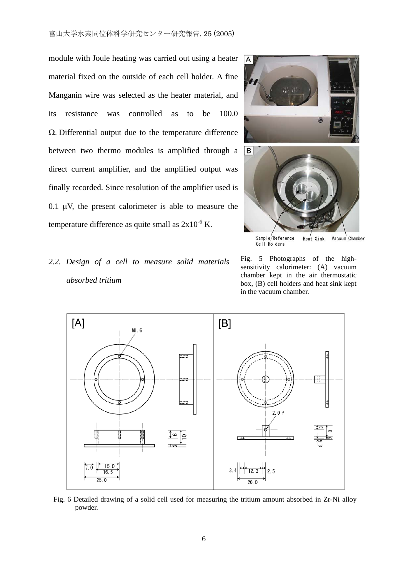module with Joule heating was carried out using a heater material fixed on the outside of each cell holder. A fine Manganin wire was selected as the heater material, and its resistance was controlled as to be 100.0 Ω. Differential output due to the temperature difference between two thermo modules is amplified through a direct current amplifier, and the amplified output was finally recorded. Since resolution of the amplifier used is 0.1  $\mu$ V, the present calorimeter is able to measure the temperature difference as quite small as  $2x10^{-6}$  K.





Sample/Reference<br>Cell Holders Heat Sink Vacuum Chamber





Fig. 6 Detailed drawing of a solid cell used for measuring the tritium amount absorbed in Zr-Ni alloy powder.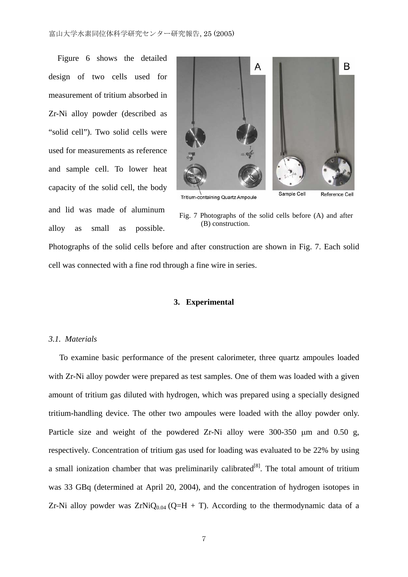Figure 6 shows the detailed design of two cells used for measurement of tritium absorbed in Zr-Ni alloy powder (described as "solid cell"). Two solid cells were used for measurements as reference and sample cell. To lower heat capacity of the solid cell, the body and lid was made of aluminum alloy as small as possible.



Tritium-containing Quartz Ampoule

Fig. 7 Photographs of the solid cells before (A) and after (B) construction.

Photographs of the solid cells before and after construction are shown in Fig. 7. Each solid cell was connected with a fine rod through a fine wire in series.

#### **3. Experimental**

### *3.1. Materials*

To examine basic performance of the present calorimeter, three quartz ampoules loaded with Zr-Ni alloy powder were prepared as test samples. One of them was loaded with a given amount of tritium gas diluted with hydrogen, which was prepared using a specially designed tritium-handling device. The other two ampoules were loaded with the alloy powder only. Particle size and weight of the powdered Zr-Ni alloy were 300-350 μm and 0.50 g, respectively. Concentration of tritium gas used for loading was evaluated to be 22% by using a small ionization chamber that was preliminarily calibrated $[8]$ . The total amount of tritium was 33 GBq (determined at April 20, 2004), and the concentration of hydrogen isotopes in Zr-Ni alloy powder was  $ZrNiQ<sub>0.04</sub>$  (Q=H + T). According to the thermodynamic data of a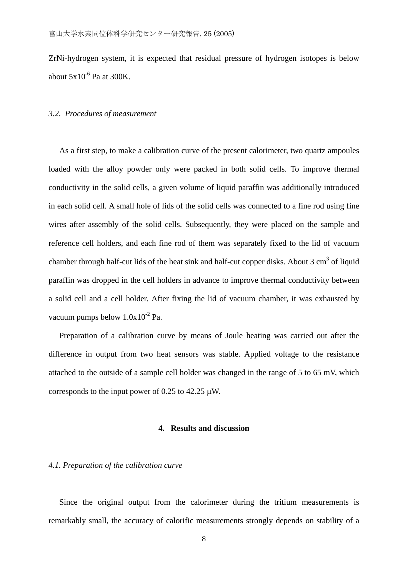ZrNi-hydrogen system, it is expected that residual pressure of hydrogen isotopes is below about  $5x10^{-6}$  Pa at 300K.

## *3.2. Procedures of measurement*

As a first step, to make a calibration curve of the present calorimeter, two quartz ampoules loaded with the alloy powder only were packed in both solid cells. To improve thermal conductivity in the solid cells, a given volume of liquid paraffin was additionally introduced in each solid cell. A small hole of lids of the solid cells was connected to a fine rod using fine wires after assembly of the solid cells. Subsequently, they were placed on the sample and reference cell holders, and each fine rod of them was separately fixed to the lid of vacuum chamber through half-cut lids of the heat sink and half-cut copper disks. About  $3 \text{ cm}^3$  of liquid paraffin was dropped in the cell holders in advance to improve thermal conductivity between a solid cell and a cell holder. After fixing the lid of vacuum chamber, it was exhausted by vacuum pumps below  $1.0x10^{-2}$  Pa.

Preparation of a calibration curve by means of Joule heating was carried out after the difference in output from two heat sensors was stable. Applied voltage to the resistance attached to the outside of a sample cell holder was changed in the range of 5 to 65 mV, which corresponds to the input power of 0.25 to 42.25  $\mu$ W.

## **4. Results and discussion**

## *4.1. Preparation of the calibration curve*

Since the original output from the calorimeter during the tritium measurements is remarkably small, the accuracy of calorific measurements strongly depends on stability of a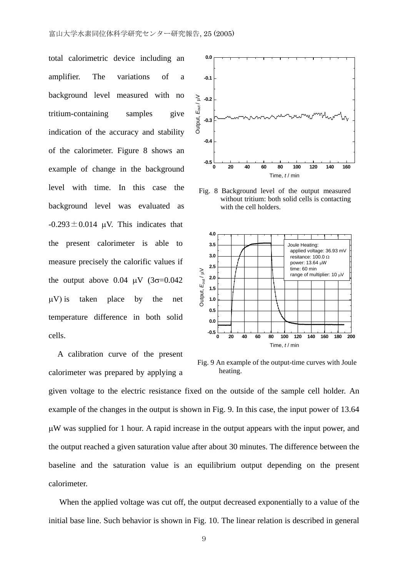total calorimetric device including an amplifier. The variations of a background level measured with no tritium-containing samples give indication of the accuracy and stability of the calorimeter. Figure 8 shows an example of change in the background level with time. In this case the background level was evaluated as  $-0.293 \pm 0.014$  μV. This indicates that the present calorimeter is able to measure precisely the calorific values if the output above  $0.04 \mu V (3\sigma = 0.042)$ μV) is taken place by the net temperature difference in both solid cells.

A calibration curve of the present calorimeter was prepared by applying a



Fig. 8 Background level of the output measured without tritium: both solid cells is contacting with the cell holders.



Fig. 9 An example of the output-time curves with Joule heating.

given voltage to the electric resistance fixed on the outside of the sample cell holder. An example of the changes in the output is shown in Fig. 9. In this case, the input power of 13.64 μW was supplied for 1 hour. A rapid increase in the output appears with the input power, and the output reached a given saturation value after about 30 minutes. The difference between the baseline and the saturation value is an equilibrium output depending on the present calorimeter.

When the applied voltage was cut off, the output decreased exponentially to a value of the initial base line. Such behavior is shown in Fig. 10. The linear relation is described in general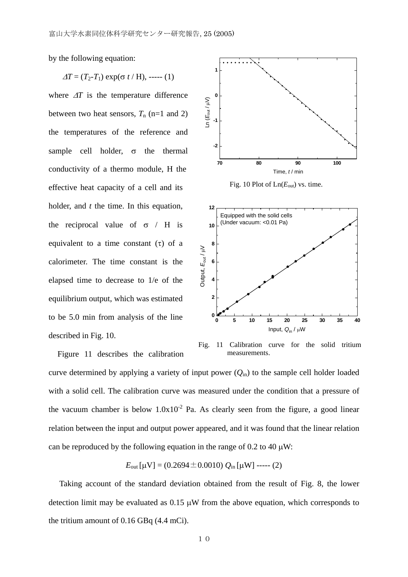by the following equation:

$$
\Delta T = (T_2 - T_1) \exp(\sigma t / H), \cdots (1)
$$

where  $\Delta T$  is the temperature difference between two heat sensors,  $T_n$  (n=1 and 2) the temperatures of the reference and sample cell holder,  $\sigma$  the thermal conductivity of a thermo module, H the effective heat capacity of a cell and its holder, and *t* the time. In this equation, the reciprocal value of  $\sigma$  / H is equivalent to a time constant  $(\tau)$  of a calorimeter. The time constant is the elapsed time to decrease to 1/e of the equilibrium output, which was estimated to be 5.0 min from analysis of the line described in Fig. 10.

Figure 11 describes the calibration



Fig. 10 Plot of  $Ln(E_{out})$  vs. time.



Fig. 11 Calibration curve for the solid tritium measurements.

curve determined by applying a variety of input power (*Q*in) to the sample cell holder loaded with a solid cell. The calibration curve was measured under the condition that a pressure of the vacuum chamber is below  $1.0x10^{-2}$  Pa. As clearly seen from the figure, a good linear relation between the input and output power appeared, and it was found that the linear relation can be reproduced by the following equation in the range of 0.2 to 40  $\mu$ W:

$$
E_{\text{out}}[\mu V] = (0.2694 \pm 0.0010) Q_{\text{in}}[\mu W] \text{---}(2)
$$

Taking account of the standard deviation obtained from the result of Fig. 8, the lower detection limit may be evaluated as  $0.15 \mu W$  from the above equation, which corresponds to the tritium amount of 0.16 GBq (4.4 mCi).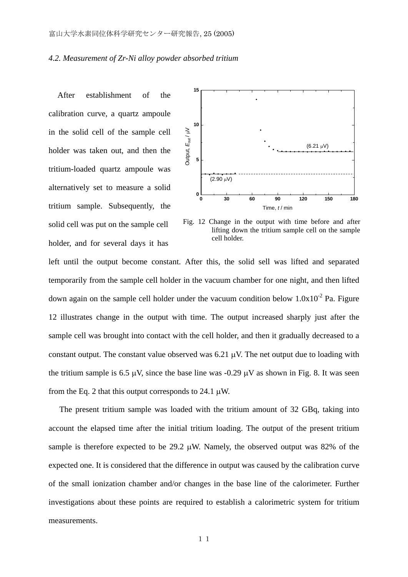### *4.2. Measurement of Zr-Ni alloy powder absorbed tritium*

After establishment of the calibration curve, a quartz ampoule in the solid cell of the sample cell holder was taken out, and then the tritium-loaded quartz ampoule was alternatively set to measure a solid tritium sample. Subsequently, the solid cell was put on the sample cell holder, and for several days it has



Fig. 12 Change in the output with time before and after lifting down the tritium sample cell on the sample cell holder.

left until the output become constant. After this, the solid sell was lifted and separated temporarily from the sample cell holder in the vacuum chamber for one night, and then lifted down again on the sample cell holder under the vacuum condition below  $1.0x10^{-2}$  Pa. Figure 12 illustrates change in the output with time. The output increased sharply just after the sample cell was brought into contact with the cell holder, and then it gradually decreased to a constant output. The constant value observed was 6.21 μV. The net output due to loading with the tritium sample is 6.5 μV, since the base line was -0.29 μV as shown in Fig. 8. It was seen from the Eq. 2 that this output corresponds to 24.1  $\mu$ W.

The present tritium sample was loaded with the tritium amount of 32 GBq, taking into account the elapsed time after the initial tritium loading. The output of the present tritium sample is therefore expected to be  $29.2 \mu W$ . Namely, the observed output was 82% of the expected one. It is considered that the difference in output was caused by the calibration curve of the small ionization chamber and/or changes in the base line of the calorimeter. Further investigations about these points are required to establish a calorimetric system for tritium measurements.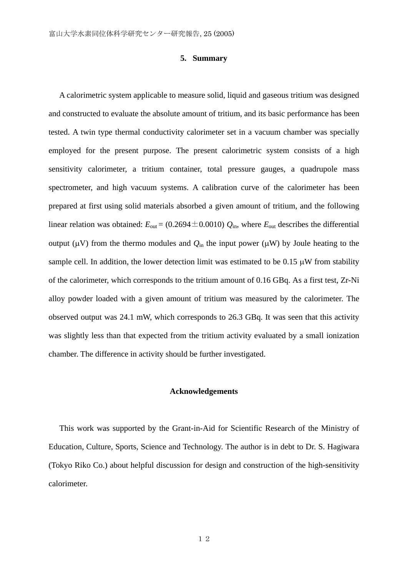### **5. Summary**

A calorimetric system applicable to measure solid, liquid and gaseous tritium was designed and constructed to evaluate the absolute amount of tritium, and its basic performance has been tested. A twin type thermal conductivity calorimeter set in a vacuum chamber was specially employed for the present purpose. The present calorimetric system consists of a high sensitivity calorimeter, a tritium container, total pressure gauges, a quadrupole mass spectrometer, and high vacuum systems. A calibration curve of the calorimeter has been prepared at first using solid materials absorbed a given amount of tritium, and the following linear relation was obtained:  $E_{\text{out}} = (0.2694 \pm 0.0010) Q_{\text{in}}$ , where  $E_{\text{out}}$  describes the differential output (μV) from the thermo modules and  $Q<sub>in</sub>$  the input power (μW) by Joule heating to the sample cell. In addition, the lower detection limit was estimated to be  $0.15 \mu W$  from stability of the calorimeter, which corresponds to the tritium amount of 0.16 GBq. As a first test, Zr-Ni alloy powder loaded with a given amount of tritium was measured by the calorimeter. The observed output was 24.1 mW, which corresponds to 26.3 GBq. It was seen that this activity was slightly less than that expected from the tritium activity evaluated by a small ionization chamber. The difference in activity should be further investigated.

### **Acknowledgements**

This work was supported by the Grant-in-Aid for Scientific Research of the Ministry of Education, Culture, Sports, Science and Technology. The author is in debt to Dr. S. Hagiwara (Tokyo Riko Co.) about helpful discussion for design and construction of the high-sensitivity calorimeter.